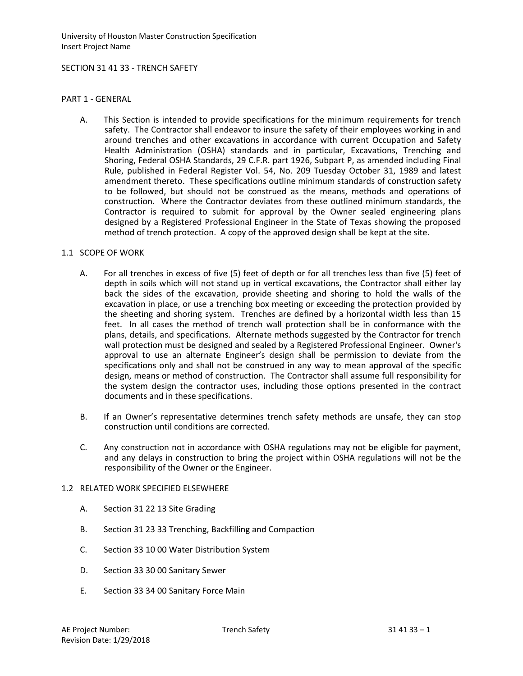### SECTION 31 41 33 - TRENCH SAFETY

## PART 1 - GENERAL

A. This Section is intended to provide specifications for the minimum requirements for trench safety. The Contractor shall endeavor to insure the safety of their employees working in and around trenches and other excavations in accordance with current Occupation and Safety Health Administration (OSHA) standards and in particular, Excavations, Trenching and Shoring, Federal OSHA Standards, 29 C.F.R. part 1926, Subpart P, as amended including Final Rule, published in Federal Register Vol. 54, No. 209 Tuesday October 31, 1989 and latest amendment thereto. These specifications outline minimum standards of construction safety to be followed, but should not be construed as the means, methods and operations of construction. Where the Contractor deviates from these outlined minimum standards, the Contractor is required to submit for approval by the Owner sealed engineering plans designed by a Registered Professional Engineer in the State of Texas showing the proposed method of trench protection. A copy of the approved design shall be kept at the site.

### 1.1 SCOPE OF WORK

- A. For all trenches in excess of five (5) feet of depth or for all trenches less than five (5) feet of depth in soils which will not stand up in vertical excavations, the Contractor shall either lay back the sides of the excavation, provide sheeting and shoring to hold the walls of the excavation in place, or use a trenching box meeting or exceeding the protection provided by the sheeting and shoring system. Trenches are defined by a horizontal width less than 15 feet. In all cases the method of trench wall protection shall be in conformance with the plans, details, and specifications. Alternate methods suggested by the Contractor for trench wall protection must be designed and sealed by a Registered Professional Engineer. Owner's approval to use an alternate Engineer's design shall be permission to deviate from the specifications only and shall not be construed in any way to mean approval of the specific design, means or method of construction. The Contractor shall assume full responsibility for the system design the contractor uses, including those options presented in the contract documents and in these specifications.
- B. If an Owner's representative determines trench safety methods are unsafe, they can stop construction until conditions are corrected.
- C. Any construction not in accordance with OSHA regulations may not be eligible for payment, and any delays in construction to bring the project within OSHA regulations will not be the responsibility of the Owner or the Engineer.

### 1.2 RELATED WORK SPECIFIED ELSEWHERE

- A. Section 31 22 13 Site Grading
- B. Section 31 23 33 Trenching, Backfilling and Compaction
- C. Section 33 10 00 Water Distribution System
- D. Section 33 30 00 Sanitary Sewer
- E. Section 33 34 00 Sanitary Force Main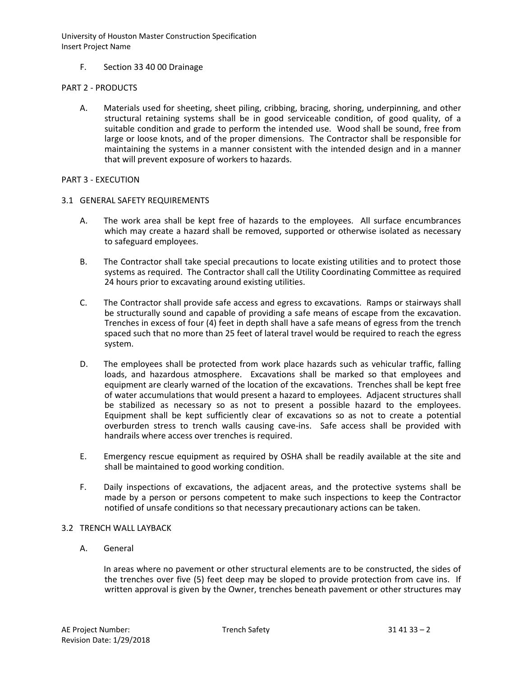University of Houston Master Construction Specification Insert Project Name

F. Section 33 40 00 Drainage

### PART 2 - PRODUCTS

A. Materials used for sheeting, sheet piling, cribbing, bracing, shoring, underpinning, and other structural retaining systems shall be in good serviceable condition, of good quality, of a suitable condition and grade to perform the intended use. Wood shall be sound, free from large or loose knots, and of the proper dimensions. The Contractor shall be responsible for maintaining the systems in a manner consistent with the intended design and in a manner that will prevent exposure of workers to hazards.

### PART 3 - EXECUTION

### 3.1 GENERAL SAFETY REQUIREMENTS

- A. The work area shall be kept free of hazards to the employees. All surface encumbrances which may create a hazard shall be removed, supported or otherwise isolated as necessary to safeguard employees.
- B. The Contractor shall take special precautions to locate existing utilities and to protect those systems as required. The Contractor shall call the Utility Coordinating Committee as required 24 hours prior to excavating around existing utilities.
- C. The Contractor shall provide safe access and egress to excavations. Ramps or stairways shall be structurally sound and capable of providing a safe means of escape from the excavation. Trenches in excess of four (4) feet in depth shall have a safe means of egress from the trench spaced such that no more than 25 feet of lateral travel would be required to reach the egress system.
- D. The employees shall be protected from work place hazards such as vehicular traffic, falling loads, and hazardous atmosphere. Excavations shall be marked so that employees and equipment are clearly warned of the location of the excavations. Trenches shall be kept free of water accumulations that would present a hazard to employees. Adjacent structures shall be stabilized as necessary so as not to present a possible hazard to the employees. Equipment shall be kept sufficiently clear of excavations so as not to create a potential overburden stress to trench walls causing cave-ins. Safe access shall be provided with handrails where access over trenches is required.
- E. Emergency rescue equipment as required by OSHA shall be readily available at the site and shall be maintained to good working condition.
- F. Daily inspections of excavations, the adjacent areas, and the protective systems shall be made by a person or persons competent to make such inspections to keep the Contractor notified of unsafe conditions so that necessary precautionary actions can be taken.

# 3.2 TRENCH WALL LAYBACK

# A. General

In areas where no pavement or other structural elements are to be constructed, the sides of the trenches over five (5) feet deep may be sloped to provide protection from cave ins. If written approval is given by the Owner, trenches beneath pavement or other structures may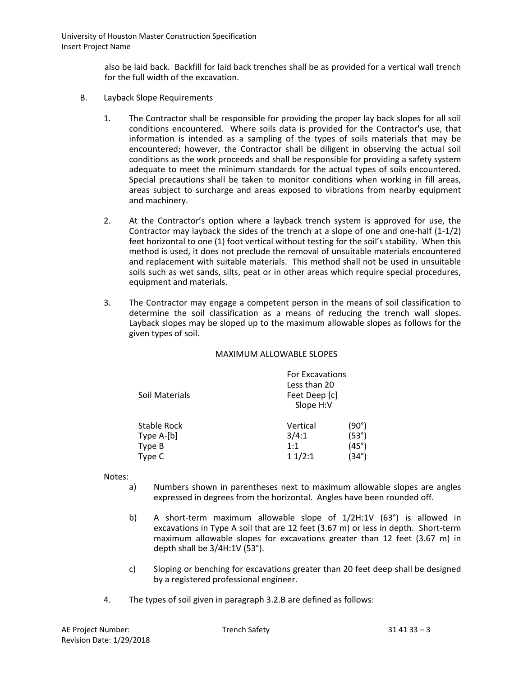also be laid back. Backfill for laid back trenches shall be as provided for a vertical wall trench for the full width of the excavation.

- B. Layback Slope Requirements
	- 1. The Contractor shall be responsible for providing the proper lay back slopes for all soil conditions encountered. Where soils data is provided for the Contractor's use, that information is intended as a sampling of the types of soils materials that may be encountered; however, the Contractor shall be diligent in observing the actual soil conditions as the work proceeds and shall be responsible for providing a safety system adequate to meet the minimum standards for the actual types of soils encountered. Special precautions shall be taken to monitor conditions when working in fill areas, areas subject to surcharge and areas exposed to vibrations from nearby equipment and machinery.
	- 2. At the Contractor's option where a layback trench system is approved for use, the Contractor may layback the sides of the trench at a slope of one and one-half (1-1/2) feet horizontal to one (1) foot vertical without testing for the soil's stability. When this method is used, it does not preclude the removal of unsuitable materials encountered and replacement with suitable materials. This method shall not be used in unsuitable soils such as wet sands, silts, peat or in other areas which require special procedures, equipment and materials.
	- 3. The Contractor may engage a competent person in the means of soil classification to determine the soil classification as a means of reducing the trench wall slopes. Layback slopes may be sloped up to the maximum allowable slopes as follows for the given types of soil.

#### MAXIMUM ALLOWABLE SLOPES

| Soil Materials | <b>For Excavations</b><br>Less than 20<br>Feet Deep [c]<br>Slope H:V |       |
|----------------|----------------------------------------------------------------------|-------|
| Stable Rock    | Vertical                                                             | (90°) |
| Type A-[b]     | 3/4:1                                                                | (53°) |
| Type B         | 1:1                                                                  | (45°) |
| Type C         | 11/2:1                                                               | (34°) |

Notes:

- a) Numbers shown in parentheses next to maximum allowable slopes are angles expressed in degrees from the horizontal. Angles have been rounded off.
- b) A short-term maximum allowable slope of 1/2H:1V (63°) is allowed in excavations in Type A soil that are 12 feet (3.67 m) or less in depth. Short-term maximum allowable slopes for excavations greater than 12 feet (3.67 m) in depth shall be 3/4H:1V (53°).
- c) Sloping or benching for excavations greater than 20 feet deep shall be designed by a registered professional engineer.
- 4. The types of soil given in paragraph 3.2.B are defined as follows: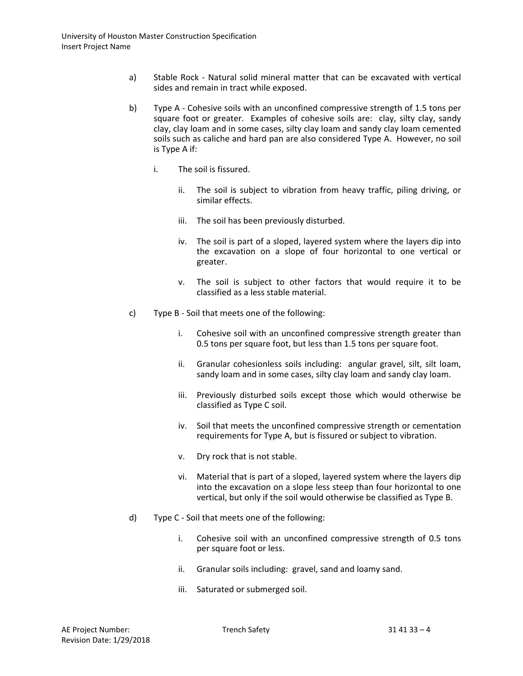- a) Stable Rock Natural solid mineral matter that can be excavated with vertical sides and remain in tract while exposed.
- b) Type A Cohesive soils with an unconfined compressive strength of 1.5 tons per square foot or greater. Examples of cohesive soils are: clay, silty clay, sandy clay, clay loam and in some cases, silty clay loam and sandy clay loam cemented soils such as caliche and hard pan are also considered Type A. However, no soil is Type A if:
	- i. The soil is fissured.
		- ii. The soil is subject to vibration from heavy traffic, piling driving, or similar effects.
		- iii. The soil has been previously disturbed.
		- iv. The soil is part of a sloped, layered system where the layers dip into the excavation on a slope of four horizontal to one vertical or greater.
		- v. The soil is subject to other factors that would require it to be classified as a less stable material.
- c) Type B Soil that meets one of the following:
	- i. Cohesive soil with an unconfined compressive strength greater than 0.5 tons per square foot, but less than 1.5 tons per square foot.
	- ii. Granular cohesionless soils including: angular gravel, silt, silt loam, sandy loam and in some cases, silty clay loam and sandy clay loam.
	- iii. Previously disturbed soils except those which would otherwise be classified as Type C soil.
	- iv. Soil that meets the unconfined compressive strength or cementation requirements for Type A, but is fissured or subject to vibration.
	- v. Dry rock that is not stable.
	- vi. Material that is part of a sloped, layered system where the layers dip into the excavation on a slope less steep than four horizontal to one vertical, but only if the soil would otherwise be classified as Type B.
- d) Type C Soil that meets one of the following:
	- i. Cohesive soil with an unconfined compressive strength of 0.5 tons per square foot or less.
	- ii. Granular soils including: gravel, sand and loamy sand.
	- iii. Saturated or submerged soil.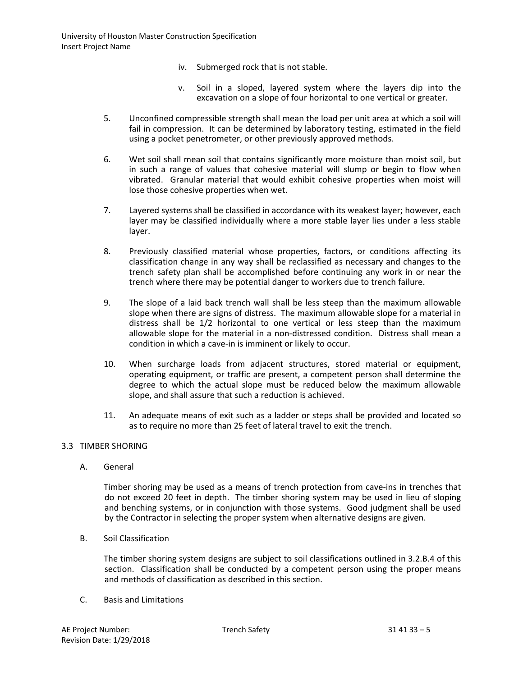- iv. Submerged rock that is not stable.
- v. Soil in a sloped, layered system where the layers dip into the excavation on a slope of four horizontal to one vertical or greater.
- 5. Unconfined compressible strength shall mean the load per unit area at which a soil will fail in compression. It can be determined by laboratory testing, estimated in the field using a pocket penetrometer, or other previously approved methods.
- 6. Wet soil shall mean soil that contains significantly more moisture than moist soil, but in such a range of values that cohesive material will slump or begin to flow when vibrated. Granular material that would exhibit cohesive properties when moist will lose those cohesive properties when wet.
- 7. Layered systems shall be classified in accordance with its weakest layer; however, each layer may be classified individually where a more stable layer lies under a less stable layer.
- 8. Previously classified material whose properties, factors, or conditions affecting its classification change in any way shall be reclassified as necessary and changes to the trench safety plan shall be accomplished before continuing any work in or near the trench where there may be potential danger to workers due to trench failure.
- 9. The slope of a laid back trench wall shall be less steep than the maximum allowable slope when there are signs of distress. The maximum allowable slope for a material in distress shall be 1/2 horizontal to one vertical or less steep than the maximum allowable slope for the material in a non-distressed condition. Distress shall mean a condition in which a cave-in is imminent or likely to occur.
- 10. When surcharge loads from adjacent structures, stored material or equipment, operating equipment, or traffic are present, a competent person shall determine the degree to which the actual slope must be reduced below the maximum allowable slope, and shall assure that such a reduction is achieved.
- 11. An adequate means of exit such as a ladder or steps shall be provided and located so as to require no more than 25 feet of lateral travel to exit the trench.

# 3.3 TIMBER SHORING

A. General

Timber shoring may be used as a means of trench protection from cave-ins in trenches that do not exceed 20 feet in depth. The timber shoring system may be used in lieu of sloping and benching systems, or in conjunction with those systems. Good judgment shall be used by the Contractor in selecting the proper system when alternative designs are given.

B. Soil Classification

The timber shoring system designs are subject to soil classifications outlined in 3.2.B.4 of this section. Classification shall be conducted by a competent person using the proper means and methods of classification as described in this section.

C. Basis and Limitations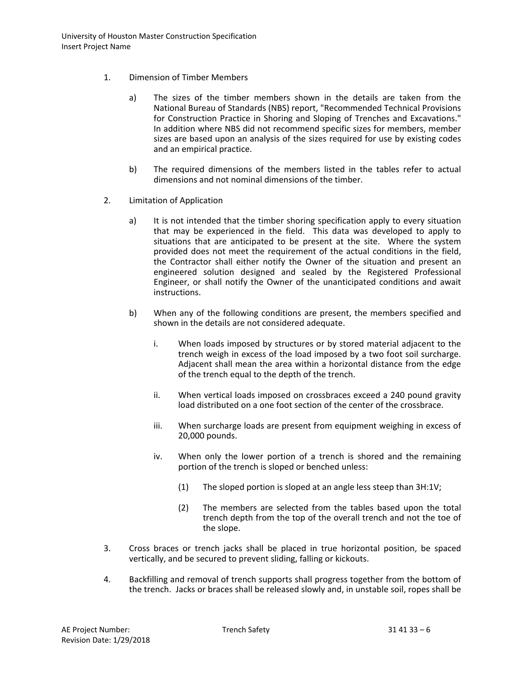- 1. Dimension of Timber Members
	- a) The sizes of the timber members shown in the details are taken from the National Bureau of Standards (NBS) report, "Recommended Technical Provisions for Construction Practice in Shoring and Sloping of Trenches and Excavations." In addition where NBS did not recommend specific sizes for members, member sizes are based upon an analysis of the sizes required for use by existing codes and an empirical practice.
	- b) The required dimensions of the members listed in the tables refer to actual dimensions and not nominal dimensions of the timber.
- 2. Limitation of Application
	- a) It is not intended that the timber shoring specification apply to every situation that may be experienced in the field. This data was developed to apply to situations that are anticipated to be present at the site. Where the system provided does not meet the requirement of the actual conditions in the field, the Contractor shall either notify the Owner of the situation and present an engineered solution designed and sealed by the Registered Professional Engineer, or shall notify the Owner of the unanticipated conditions and await instructions.
	- b) When any of the following conditions are present, the members specified and shown in the details are not considered adequate.
		- i. When loads imposed by structures or by stored material adjacent to the trench weigh in excess of the load imposed by a two foot soil surcharge. Adjacent shall mean the area within a horizontal distance from the edge of the trench equal to the depth of the trench.
		- ii. When vertical loads imposed on crossbraces exceed a 240 pound gravity load distributed on a one foot section of the center of the crossbrace.
		- iii. When surcharge loads are present from equipment weighing in excess of 20,000 pounds.
		- iv. When only the lower portion of a trench is shored and the remaining portion of the trench is sloped or benched unless:
			- (1) The sloped portion is sloped at an angle less steep than 3H:1V;
			- (2) The members are selected from the tables based upon the total trench depth from the top of the overall trench and not the toe of the slope.
- 3. Cross braces or trench jacks shall be placed in true horizontal position, be spaced vertically, and be secured to prevent sliding, falling or kickouts.
- 4. Backfilling and removal of trench supports shall progress together from the bottom of the trench. Jacks or braces shall be released slowly and, in unstable soil, ropes shall be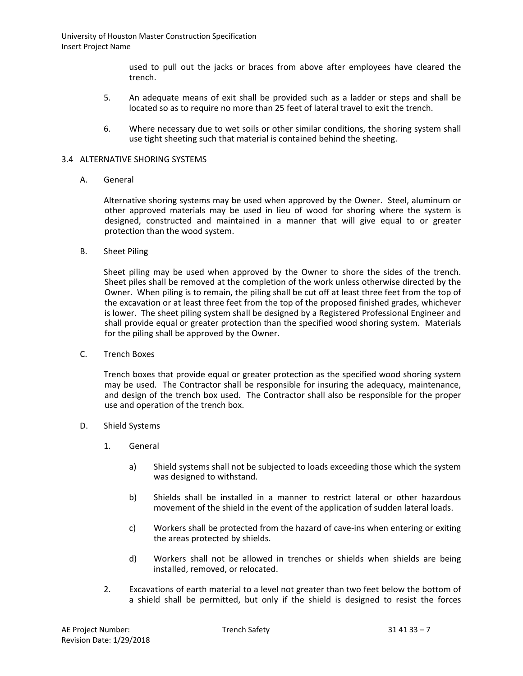used to pull out the jacks or braces from above after employees have cleared the trench.

- 5. An adequate means of exit shall be provided such as a ladder or steps and shall be located so as to require no more than 25 feet of lateral travel to exit the trench.
- 6. Where necessary due to wet soils or other similar conditions, the shoring system shall use tight sheeting such that material is contained behind the sheeting.

### 3.4 ALTERNATIVE SHORING SYSTEMS

A. General

Alternative shoring systems may be used when approved by the Owner. Steel, aluminum or other approved materials may be used in lieu of wood for shoring where the system is designed, constructed and maintained in a manner that will give equal to or greater protection than the wood system.

B. Sheet Piling

Sheet piling may be used when approved by the Owner to shore the sides of the trench. Sheet piles shall be removed at the completion of the work unless otherwise directed by the Owner. When piling is to remain, the piling shall be cut off at least three feet from the top of the excavation or at least three feet from the top of the proposed finished grades, whichever is lower. The sheet piling system shall be designed by a Registered Professional Engineer and shall provide equal or greater protection than the specified wood shoring system. Materials for the piling shall be approved by the Owner.

C. Trench Boxes

Trench boxes that provide equal or greater protection as the specified wood shoring system may be used. The Contractor shall be responsible for insuring the adequacy, maintenance, and design of the trench box used. The Contractor shall also be responsible for the proper use and operation of the trench box.

- D. Shield Systems
	- 1. General
		- a) Shield systems shall not be subjected to loads exceeding those which the system was designed to withstand.
		- b) Shields shall be installed in a manner to restrict lateral or other hazardous movement of the shield in the event of the application of sudden lateral loads.
		- c) Workers shall be protected from the hazard of cave-ins when entering or exiting the areas protected by shields.
		- d) Workers shall not be allowed in trenches or shields when shields are being installed, removed, or relocated.
	- 2. Excavations of earth material to a level not greater than two feet below the bottom of a shield shall be permitted, but only if the shield is designed to resist the forces